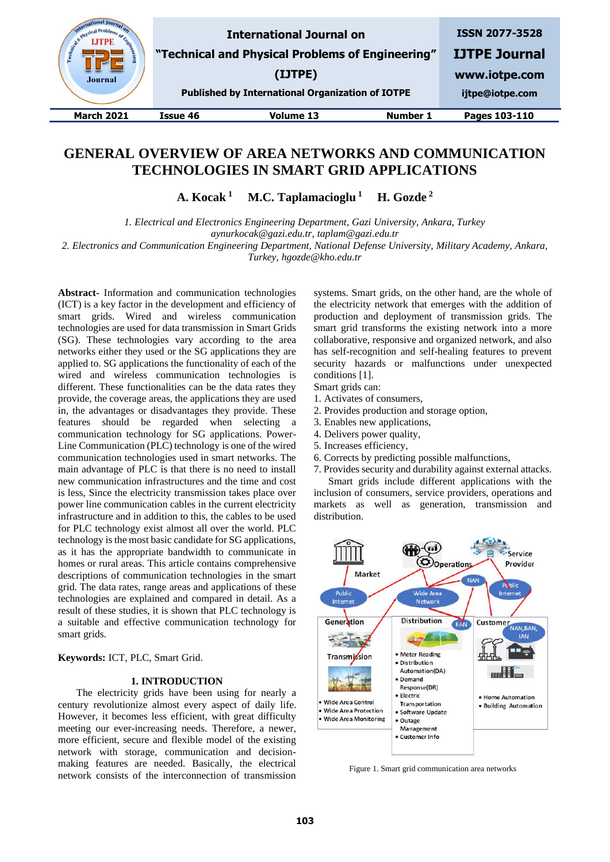

# **GENERAL OVERVIEW OF AREA NETWORKS AND COMMUNICATION TECHNOLOGIES IN SMART GRID APPLICATIONS**

**A. Kocak <sup>1</sup> M.C. Taplamacioglu <sup>1</sup> H. Gozde <sup>2</sup>**

*1. Electrical and Electronics Engineering Department, Gazi University, Ankara, Turkey aynurkocak@gazi.edu.tr, taplam@gazi.edu.tr*

*2. Electronics and Communication Engineering Department, National Defense University, Military Academy, Ankara, Turkey, hgozde@kho.edu.tr*

**Abstract-** Information and communication technologies (ICT) is a key factor in the development and efficiency of smart grids. Wired and wireless communication technologies are used for data transmission in Smart Grids (SG). These technologies vary according to the area networks either they used or the SG applications they are applied to. SG applications the functionality of each of the wired and wireless communication technologies is different. These functionalities can be the data rates they provide, the coverage areas, the applications they are used in, the advantages or disadvantages they provide. These features should be regarded when selecting a communication technology for SG applications. Power-Line Communication (PLC) technology is one of the wired communication technologies used in smart networks. The main advantage of PLC is that there is no need to install new communication infrastructures and the time and cost is less, Since the electricity transmission takes place over power line communication cables in the current electricity infrastructure and in addition to this, the cables to be used for PLC technology exist almost all over the world. PLC technology is the most basic candidate for SG applications, as it has the appropriate bandwidth to communicate in homes or rural areas. This article contains comprehensive descriptions of communication technologies in the smart grid. The data rates, range areas and applications of these technologies are explained and compared in detail. As a result of these studies, it is shown that PLC technology is a suitable and effective communication technology for smart grids.

**Keywords:** ICT, PLC, Smart Grid.

# **1. INTRODUCTION**

The electricity grids have been using for nearly a century revolutionize almost every aspect of daily life. However, it becomes less efficient, with great difficulty meeting our ever-increasing needs. Therefore, a newer, more efficient, secure and flexible model of the existing network with storage, communication and decisionmaking features are needed. Basically, the electrical network consists of the interconnection of transmission systems. Smart grids, on the other hand, are the whole of the electricity network that emerges with the addition of production and deployment of transmission grids. The smart grid transforms the existing network into a more collaborative, responsive and organized network, and also has self-recognition and self-healing features to prevent security hazards or malfunctions under unexpected conditions [1].

Smart grids can:

- 1. Activates of consumers,
- 2. Provides production and storage option,
- 3. Enables new applications,
- 4. Delivers power quality,
- 5. Increases efficiency,
- 6. Corrects by predicting possible malfunctions,

7. Provides security and durability against external attacks. Smart grids include different applications with the inclusion of consumers, service providers, operations and markets as well as generation, transmission and distribution.



Figure 1. Smart grid communication area networks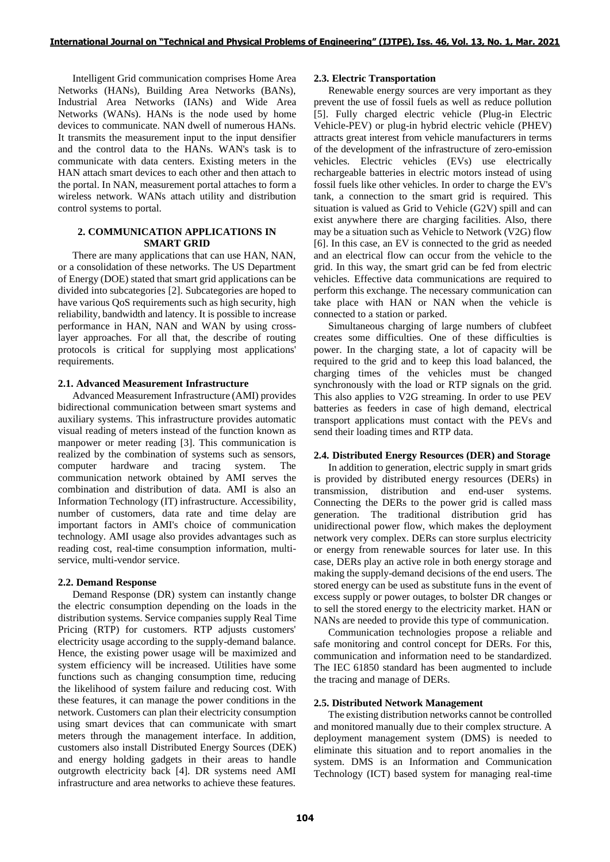Intelligent Grid communication comprises Home Area Networks (HANs), Building Area Networks (BANs), Industrial Area Networks (IANs) and Wide Area Networks (WANs). HANs is the node used by home devices to communicate. NAN dwell of numerous HANs. It transmits the measurement input to the input densifier and the control data to the HANs. WAN's task is to communicate with data centers. Existing meters in the HAN attach smart devices to each other and then attach to the portal. In NAN, measurement portal attaches to form a wireless network. WANs attach utility and distribution control systems to portal.

# **2. COMMUNICATION APPLICATIONS IN SMART GRID**

There are many applications that can use HAN, NAN, or a consolidation of these networks. The US Department of Energy (DOE) stated that smart grid applications can be divided into subcategories [2]. Subcategories are hoped to have various QoS requirements such as high security, high reliability, bandwidth and latency. It is possible to increase performance in HAN, NAN and WAN by using crosslayer approaches. For all that, the describe of routing protocols is critical for supplying most applications' requirements.

# **2.1. Advanced Measurement Infrastructure**

Advanced Measurement Infrastructure (AMI) provides bidirectional communication between smart systems and auxiliary systems. This infrastructure provides automatic visual reading of meters instead of the function known as manpower or meter reading [3]. This communication is realized by the combination of systems such as sensors, computer hardware and tracing system. The communication network obtained by AMI serves the combination and distribution of data. AMI is also an Information Technology (IT) infrastructure. Accessibility, number of customers, data rate and time delay are important factors in AMI's choice of communication technology. AMI usage also provides advantages such as reading cost, real-time consumption information, multiservice, multi-vendor service.

#### **2.2. Demand Response**

Demand Response (DR) system can instantly change the electric consumption depending on the loads in the distribution systems. Service companies supply Real Time Pricing (RTP) for customers. RTP adjusts customers' electricity usage according to the supply-demand balance. Hence, the existing power usage will be maximized and system efficiency will be increased. Utilities have some functions such as changing consumption time, reducing the likelihood of system failure and reducing cost. With these features, it can manage the power conditions in the network. Customers can plan their electricity consumption using smart devices that can communicate with smart meters through the management interface. In addition, customers also install Distributed Energy Sources (DEK) and energy holding gadgets in their areas to handle outgrowth electricity back [4]. DR systems need AMI infrastructure and area networks to achieve these features.

#### **2.3. Electric Transportation**

Renewable energy sources are very important as they prevent the use of fossil fuels as well as reduce pollution [5]. Fully charged electric vehicle (Plug-in Electric Vehicle-PEV) or plug-in hybrid electric vehicle (PHEV) attracts great interest from vehicle manufacturers in terms of the development of the infrastructure of zero-emission vehicles. Electric vehicles (EVs) use electrically rechargeable batteries in electric motors instead of using fossil fuels like other vehicles. In order to charge the EV's tank, a connection to the smart grid is required. This situation is valued as Grid to Vehicle (G2V) spill and can exist anywhere there are charging facilities. Also, there may be a situation such as Vehicle to Network (V2G) flow [6]. In this case, an EV is connected to the grid as needed and an electrical flow can occur from the vehicle to the grid. In this way, the smart grid can be fed from electric vehicles. Effective data communications are required to perform this exchange. The necessary communication can take place with HAN or NAN when the vehicle is connected to a station or parked.

Simultaneous charging of large numbers of clubfeet creates some difficulties. One of these difficulties is power. In the charging state, a lot of capacity will be required to the grid and to keep this load balanced, the charging times of the vehicles must be changed synchronously with the load or RTP signals on the grid. This also applies to V2G streaming. In order to use PEV batteries as feeders in case of high demand, electrical transport applications must contact with the PEVs and send their loading times and RTP data.

#### **2.4. Distributed Energy Resources (DER) and Storage**

In addition to generation, electric supply in smart grids is provided by distributed energy resources (DERs) in transmission, distribution and end-user systems. Connecting the DERs to the power grid is called mass generation. The traditional distribution grid has unidirectional power flow, which makes the deployment network very complex. DERs can store surplus electricity or energy from renewable sources for later use. In this case, DERs play an active role in both energy storage and making the supply-demand decisions of the end users. The stored energy can be used as substitute funs in the event of excess supply or power outages, to bolster DR changes or to sell the stored energy to the electricity market. HAN or NANs are needed to provide this type of communication.

Communication technologies propose a reliable and safe monitoring and control concept for DERs. For this, communication and information need to be standardized. The IEC 61850 standard has been augmented to include the tracing and manage of DERs.

#### **2.5. Distributed Network Management**

The existing distribution networks cannot be controlled and monitored manually due to their complex structure. A deployment management system (DMS) is needed to eliminate this situation and to report anomalies in the system. DMS is an Information and Communication Technology (ICT) based system for managing real-time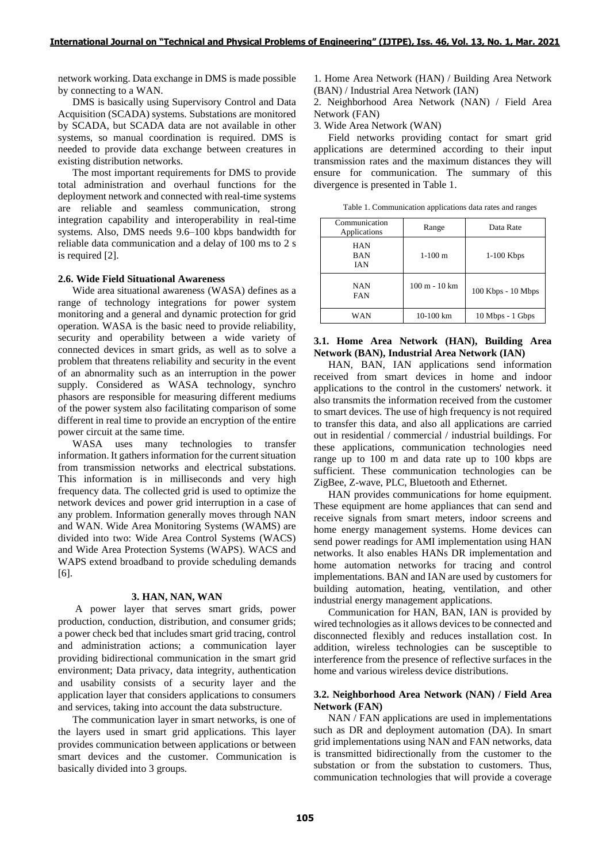network working. Data exchange in DMS is made possible by connecting to a WAN.

DMS is basically using Supervisory Control and Data Acquisition (SCADA) systems. Substations are monitored by SCADA, but SCADA data are not available in other systems, so manual coordination is required. DMS is needed to provide data exchange between creatures in existing distribution networks.

The most important requirements for DMS to provide total administration and overhaul functions for the deployment network and connected with real-time systems are reliable and seamless communication, strong integration capability and interoperability in real-time systems. Also, DMS needs 9.6–100 kbps bandwidth for reliable data communication and a delay of 100 ms to 2 s is required [2].

# **2.6. Wide Field Situational Awareness**

Wide area situational awareness (WASA) defines as a range of technology integrations for power system monitoring and a general and dynamic protection for grid operation. WASA is the basic need to provide reliability, security and operability between a wide variety of connected devices in smart grids, as well as to solve a problem that threatens reliability and security in the event of an abnormality such as an interruption in the power supply. Considered as WASA technology, synchro phasors are responsible for measuring different mediums of the power system also facilitating comparison of some different in real time to provide an encryption of the entire power circuit at the same time.

WASA uses many technologies to transfer information. It gathers information for the current situation from transmission networks and electrical substations. This information is in milliseconds and very high frequency data. The collected grid is used to optimize the network devices and power grid interruption in a case of any problem. Information generally moves through NAN and WAN. Wide Area Monitoring Systems (WAMS) are divided into two: Wide Area Control Systems (WACS) and Wide Area Protection Systems (WAPS). WACS and WAPS extend broadband to provide scheduling demands [6].

#### **3. HAN, NAN, WAN**

A power layer that serves smart grids, power production, conduction, distribution, and consumer grids; a power check bed that includes smart grid tracing, control and administration actions; a communication layer providing bidirectional communication in the smart grid environment; Data privacy, data integrity, authentication and usability consists of a security layer and the application layer that considers applications to consumers and services, taking into account the data substructure.

The communication layer in smart networks, is one of the layers used in smart grid applications. This layer provides communication between applications or between smart devices and the customer. Communication is basically divided into 3 groups.

1. Home Area Network (HAN) / Building Area Network (BAN) / Industrial Area Network (IAN)

2. Neighborhood Area Network (NAN) / Field Area Network (FAN)

3. Wide Area Network (WAN)

Field networks providing contact for smart grid applications are determined according to their input transmission rates and the maximum distances they will ensure for communication. The summary of this divergence is presented in Table 1.

Table 1. Communication applications data rates and ranges

| Communication<br>Applications | Range           | Data Rate          |
|-------------------------------|-----------------|--------------------|
| HAN<br>BAN<br>IAN             | $1-100$ m       | $1-100$ Kbps       |
| NAN<br>FAN                    | $100 m - 10 km$ | 100 Kbps - 10 Mbps |
| WAN                           | $10-100$ km     | 10 Mbps - 1 Gbps   |

## **3.1. Home Area Network (HAN), Building Area Network (BAN), Industrial Area Network (IAN)**

HAN, BAN, IAN applications send information received from smart devices in home and indoor applications to the control in the customers' network. it also transmits the information received from the customer to smart devices. The use of high frequency is not required to transfer this data, and also all applications are carried out in residential / commercial / industrial buildings. For these applications, communication technologies need range up to 100 m and data rate up to 100 kbps are sufficient. These communication technologies can be ZigBee, Z-wave, PLC, Bluetooth and Ethernet.

HAN provides communications for home equipment. These equipment are home appliances that can send and receive signals from smart meters, indoor screens and home energy management systems. Home devices can send power readings for AMI implementation using HAN networks. It also enables HANs DR implementation and home automation networks for tracing and control implementations. BAN and IAN are used by customers for building automation, heating, ventilation, and other industrial energy management applications.

Communication for HAN, BAN, IAN is provided by wired technologies as it allows devices to be connected and disconnected flexibly and reduces installation cost. In addition, wireless technologies can be susceptible to interference from the presence of reflective surfaces in the home and various wireless device distributions.

### **3.2. Neighborhood Area Network (NAN) / Field Area Network (FAN)**

NAN / FAN applications are used in implementations such as DR and deployment automation (DA). In smart grid implementations using NAN and FAN networks, data is transmitted bidirectionally from the customer to the substation or from the substation to customers. Thus, communication technologies that will provide a coverage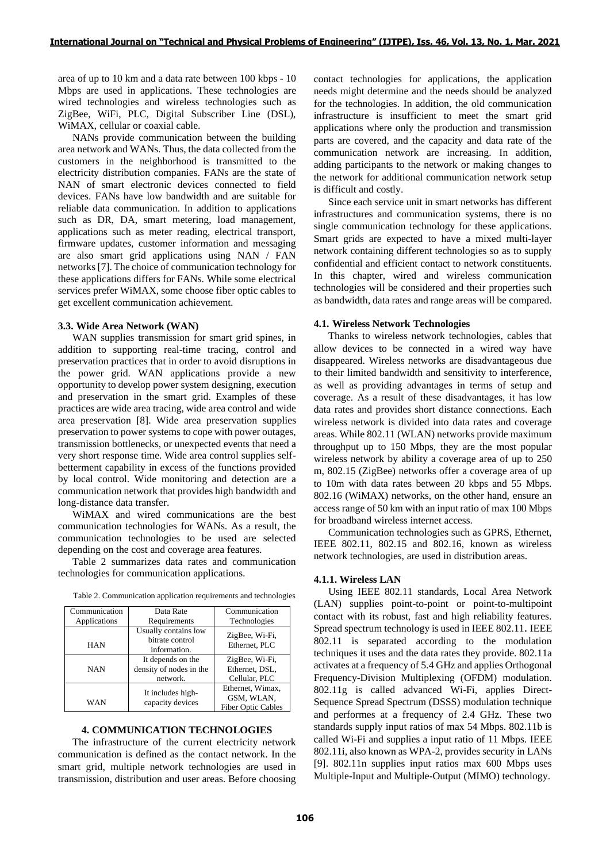area of up to 10 km and a data rate between 100 kbps - 10 Mbps are used in applications. These technologies are wired technologies and wireless technologies such as ZigBee, WiFi, PLC, Digital Subscriber Line (DSL), WiMAX, cellular or coaxial cable.

NANs provide communication between the building area network and WANs. Thus, the data collected from the customers in the neighborhood is transmitted to the electricity distribution companies. FANs are the state of NAN of smart electronic devices connected to field devices. FANs have low bandwidth and are suitable for reliable data communication. In addition to applications such as DR, DA, smart metering, load management, applications such as meter reading, electrical transport, firmware updates, customer information and messaging are also smart grid applications using NAN / FAN networks[7]. The choice of communication technology for these applications differs for FANs. While some electrical services prefer WiMAX, some choose fiber optic cables to get excellent communication achievement.

#### **3.3. Wide Area Network (WAN)**

WAN supplies transmission for smart grid spines, in addition to supporting real-time tracing, control and preservation practices that in order to avoid disruptions in the power grid. WAN applications provide a new opportunity to develop power system designing, execution and preservation in the smart grid. Examples of these practices are wide area tracing, wide area control and wide area preservation [8]. Wide area preservation supplies preservation to power systems to cope with power outages, transmission bottlenecks, or unexpected events that need a very short response time. Wide area control supplies selfbetterment capability in excess of the functions provided by local control. Wide monitoring and detection are a communication network that provides high bandwidth and long-distance data transfer.

WiMAX and wired communications are the best communication technologies for WANs. As a result, the communication technologies to be used are selected depending on the cost and coverage area features.

Table 2 summarizes data rates and communication technologies for communication applications.

| Communication<br>Applications | Data Rate<br>Requirements                                | Communication<br>Technologies                               |
|-------------------------------|----------------------------------------------------------|-------------------------------------------------------------|
| HAN                           | Usually contains low<br>bitrate control<br>information.  | ZigBee, Wi-Fi,<br>Ethernet, PLC                             |
| <b>NAN</b>                    | It depends on the<br>density of nodes in the<br>network. | ZigBee, Wi-Fi,<br>Ethernet, DSL,<br>Cellular, PLC           |
| WAN                           | It includes high-<br>capacity devices                    | Ethernet, Wimax,<br>GSM, WLAN,<br><b>Fiber Optic Cables</b> |

# **4. COMMUNICATION TECHNOLOGIES**

The infrastructure of the current electricity network communication is defined as the contact network. In the smart grid, multiple network technologies are used in transmission, distribution and user areas. Before choosing contact technologies for applications, the application needs might determine and the needs should be analyzed for the technologies. In addition, the old communication infrastructure is insufficient to meet the smart grid applications where only the production and transmission parts are covered, and the capacity and data rate of the communication network are increasing. In addition, adding participants to the network or making changes to the network for additional communication network setup is difficult and costly.

Since each service unit in smart networks has different infrastructures and communication systems, there is no single communication technology for these applications. Smart grids are expected to have a mixed multi-layer network containing different technologies so as to supply confidential and efficient contact to network constituents. In this chapter, wired and wireless communication technologies will be considered and their properties such as bandwidth, data rates and range areas will be compared.

#### **4.1. Wireless Network Technologies**

Thanks to wireless network technologies, cables that allow devices to be connected in a wired way have disappeared. Wireless networks are disadvantageous due to their limited bandwidth and sensitivity to interference, as well as providing advantages in terms of setup and coverage. As a result of these disadvantages, it has low data rates and provides short distance connections. Each wireless network is divided into data rates and coverage areas. While 802.11 (WLAN) networks provide maximum throughput up to 150 Mbps, they are the most popular wireless network by ability a coverage area of up to 250 m, 802.15 (ZigBee) networks offer a coverage area of up to 10m with data rates between 20 kbps and 55 Mbps. 802.16 (WiMAX) networks, on the other hand, ensure an access range of 50 km with an input ratio of max 100 Mbps for broadband wireless internet access.

Communication technologies such as GPRS, Ethernet, IEEE 802.11, 802.15 and 802.16, known as wireless network technologies, are used in distribution areas.

#### **4.1.1. Wireless LAN**

Using IEEE 802.11 standards, Local Area Network (LAN) supplies point-to-point or point-to-multipoint contact with its robust, fast and high reliability features. Spread spectrum technology is used in IEEE 802.11. IEEE 802.11 is separated according to the modulation techniques it uses and the data rates they provide. 802.11a activates at a frequency of 5.4 GHz and applies Orthogonal Frequency-Division Multiplexing (OFDM) modulation. 802.11g is called advanced Wi-Fi, applies Direct-Sequence Spread Spectrum (DSSS) modulation technique and performes at a frequency of 2.4 GHz. These two standards supply input ratios of max 54 Mbps. 802.11b is called Wi-Fi and supplies a input ratio of 11 Mbps. IEEE 802.11i, also known as WPA-2, provides security in LANs [9]. 802.11n supplies input ratios max 600 Mbps uses Multiple-Input and Multiple-Output (MIMO) technology.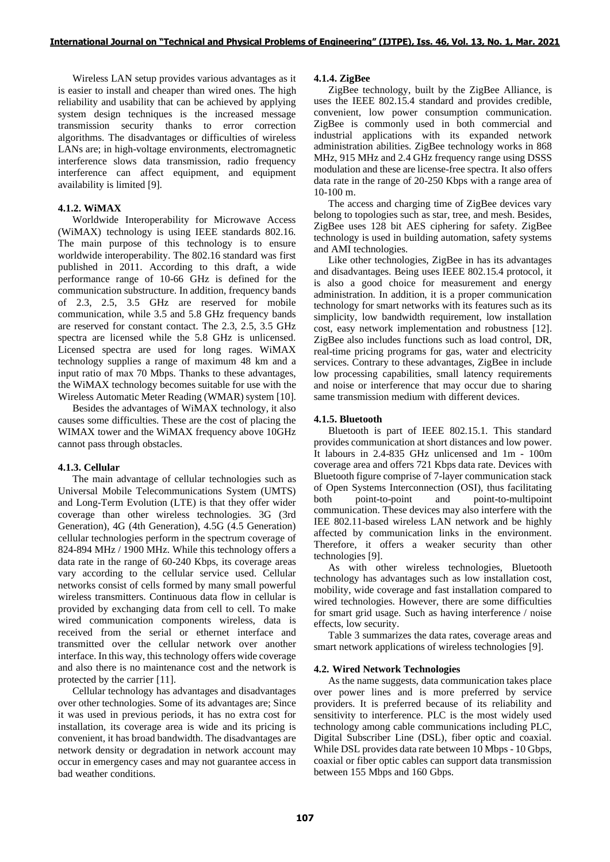Wireless LAN setup provides various advantages as it is easier to install and cheaper than wired ones. The high reliability and usability that can be achieved by applying system design techniques is the increased message transmission security thanks to error correction algorithms. The disadvantages or difficulties of wireless LANs are; in high-voltage environments, electromagnetic interference slows data transmission, radio frequency interference can affect equipment, and equipment availability is limited [9].

# **4.1.2. WiMAX**

Worldwide Interoperability for Microwave Access (WiMAX) technology is using IEEE standards 802.16. The main purpose of this technology is to ensure worldwide interoperability. The 802.16 standard was first published in 2011. According to this draft, a wide performance range of 10-66 GHz is defined for the communication substructure. In addition, frequency bands of 2.3, 2.5, 3.5 GHz are reserved for mobile communication, while 3.5 and 5.8 GHz frequency bands are reserved for constant contact. The 2.3, 2.5, 3.5 GHz spectra are licensed while the 5.8 GHz is unlicensed. Licensed spectra are used for long rages. WiMAX technology supplies a range of maximum 48 km and a input ratio of max 70 Mbps. Thanks to these advantages, the WiMAX technology becomes suitable for use with the Wireless Automatic Meter Reading (WMAR) system [10].

Besides the advantages of WiMAX technology, it also causes some difficulties. These are the cost of placing the WIMAX tower and the WiMAX frequency above 10GHz cannot pass through obstacles.

# **4.1.3. Cellular**

The main advantage of cellular technologies such as Universal Mobile Telecommunications System (UMTS) and Long-Term Evolution (LTE) is that they offer wider coverage than other wireless technologies. 3G (3rd Generation), 4G (4th Generation), 4.5G (4.5 Generation) cellular technologies perform in the spectrum coverage of 824-894 MHz / 1900 MHz. While this technology offers a data rate in the range of 60-240 Kbps, its coverage areas vary according to the cellular service used. Cellular networks consist of cells formed by many small powerful wireless transmitters. Continuous data flow in cellular is provided by exchanging data from cell to cell. To make wired communication components wireless, data is received from the serial or ethernet interface and transmitted over the cellular network over another interface. In this way, this technology offers wide coverage and also there is no maintenance cost and the network is protected by the carrier [11].

Cellular technology has advantages and disadvantages over other technologies. Some of its advantages are; Since it was used in previous periods, it has no extra cost for installation, its coverage area is wide and its pricing is convenient, it has broad bandwidth. The disadvantages are network density or degradation in network account may occur in emergency cases and may not guarantee access in bad weather conditions.

# **4.1.4. ZigBee**

ZigBee technology, built by the ZigBee Alliance, is uses the IEEE 802.15.4 standard and provides credible, convenient, low power consumption communication. ZigBee is commonly used in both commercial and industrial applications with its expanded network administration abilities. ZigBee technology works in 868 MHz, 915 MHz and 2.4 GHz frequency range using DSSS modulation and these are license-free spectra. It also offers data rate in the range of 20-250 Kbps with a range area of 10-100 m.

The access and charging time of ZigBee devices vary belong to topologies such as star, tree, and mesh. Besides, ZigBee uses 128 bit AES ciphering for safety. ZigBee technology is used in building automation, safety systems and AMI technologies.

Like other technologies, ZigBee in has its advantages and disadvantages. Being uses IEEE 802.15.4 protocol, it is also a good choice for measurement and energy administration. In addition, it is a proper communication technology for smart networks with its features such as its simplicity, low bandwidth requirement, low installation cost, easy network implementation and robustness [12]. ZigBee also includes functions such as load control, DR, real-time pricing programs for gas, water and electricity services. Contrary to these advantages, ZigBee in include low processing capabilities, small latency requirements and noise or interference that may occur due to sharing same transmission medium with different devices.

# **4.1.5. Bluetooth**

Bluetooth is part of IEEE 802.15.1. This standard provides communication at short distances and low power. It labours in 2.4-835 GHz unlicensed and 1m - 100m coverage area and offers 721 Kbps data rate. Devices with Bluetooth figure comprise of 7-layer communication stack of Open Systems Interconnection (OSI), thus facilitating both point-to-point and point-to-multipoint communication. These devices may also interfere with the IEE 802.11-based wireless LAN network and be highly affected by communication links in the environment. Therefore, it offers a weaker security than other technologies [9].

As with other wireless technologies, Bluetooth technology has advantages such as low installation cost, mobility, wide coverage and fast installation compared to wired technologies. However, there are some difficulties for smart grid usage. Such as having interference / noise effects, low security.

Table 3 summarizes the data rates, coverage areas and smart network applications of wireless technologies [9].

# **4.2. Wired Network Technologies**

As the name suggests, data communication takes place over power lines and is more preferred by service providers. It is preferred because of its reliability and sensitivity to interference. PLC is the most widely used technology among cable communications including PLC, Digital Subscriber Line (DSL), fiber optic and coaxial. While DSL provides data rate between 10 Mbps - 10 Gbps, coaxial or fiber optic cables can support data transmission between 155 Mbps and 160 Gbps.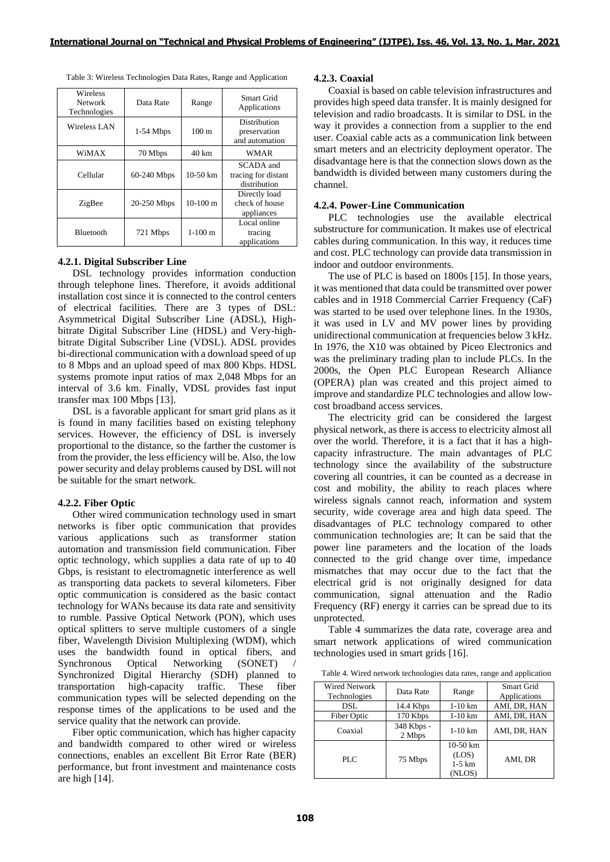| Wireless<br>Network<br>Technologies | Data Rate   | Range           | Smart Grid<br>Applications                       |
|-------------------------------------|-------------|-----------------|--------------------------------------------------|
| Wireless LAN                        | $1-54$ Mbps | $100 \text{ m}$ | Distribution<br>preservation<br>and automation   |
| WiMAX                               | 70 Mbps     | $40 \text{ km}$ | <b>WMAR</b>                                      |
| Cellular                            | 60-240 Mbps | $10-50$ km      | SCADA and<br>tracing for distant<br>distribution |
| ZigBee                              | 20-250 Mbps | $10-100$ m      | Directly load<br>check of house<br>appliances    |
| <b>Bluetooth</b>                    | 721 Mbps    | $1-100$ m       | Local online<br>tracing<br>applications          |

# **4.2.1. Digital Subscriber Line**

DSL technology provides information conduction through telephone lines. Therefore, it avoids additional installation cost since it is connected to the control centers of electrical facilities. There are 3 types of DSL: Asymmetrical Digital Subscriber Line (ADSL), Highbitrate Digital Subscriber Line (HDSL) and Very-highbitrate Digital Subscriber Line (VDSL). ADSL provides bi-directional communication with a download speed of up to 8 Mbps and an upload speed of max 800 Kbps. HDSL systems promote input ratios of max 2,048 Mbps for an interval of 3.6 km. Finally, VDSL provides fast input transfer max 100 Mbps [13].

DSL is a favorable applicant for smart grid plans as it is found in many facilities based on existing telephony services. However, the efficiency of DSL is inversely proportional to the distance, so the farther the customer is from the provider, the less efficiency will be. Also, the low power security and delay problems caused by DSL will not be suitable for the smart network.

# **4.2.2. Fiber Optic**

Other wired communication technology used in smart networks is fiber optic communication that provides various applications such as transformer station automation and transmission field communication. Fiber optic technology, which supplies a data rate of up to 40 Gbps, is resistant to electromagnetic interference as well as transporting data packets to several kilometers. Fiber optic communication is considered as the basic contact technology for WANs because its data rate and sensitivity to rumble. Passive Optical Network (PON), which uses optical splitters to serve multiple customers of a single fiber, Wavelength Division Multiplexing (WDM), which uses the bandwidth found in optical fibers, and Synchronous Optical Networking (SONET) Synchronized Digital Hierarchy (SDH) planned to transportation high-capacity traffic. These fiber communication types will be selected depending on the response times of the applications to be used and the service quality that the network can provide.

Fiber optic communication, which has higher capacity and bandwidth compared to other wired or wireless connections, enables an excellent Bit Error Rate (BER) performance, but front investment and maintenance costs are high [14].

### **4.2.3. Coaxial**

Coaxial is based on cable television infrastructures and provides high speed data transfer. It is mainly designed for television and radio broadcasts. It is similar to DSL in the way it provides a connection from a supplier to the end user. Coaxial cable acts as a communication link between smart meters and an electricity deployment operator. The disadvantage here is that the connection slows down as the bandwidth is divided between many customers during the channel.

## **4.2.4. Power-Line Communication**

PLC technologies use the available electrical substructure for communication. It makes use of electrical cables during communication. In this way, it reduces time and cost. PLC technology can provide data transmission in indoor and outdoor environments.

The use of PLC is based on 1800s [15]. In those years, it was mentioned that data could be transmitted over power cables and in 1918 Commercial Carrier Frequency (CaF) was started to be used over telephone lines. In the 1930s, it was used in LV and MV power lines by providing unidirectional communication at frequencies below 3 kHz. In 1976, the X10 was obtained by Piceo Electronics and was the preliminary trading plan to include PLCs. In the 2000s, the Open PLC European Research Alliance (OPERA) plan was created and this project aimed to improve and standardize PLC technologies and allow lowcost broadband access services.

The electricity grid can be considered the largest physical network, as there is access to electricity almost all over the world. Therefore, it is a fact that it has a highcapacity infrastructure. The main advantages of PLC technology since the availability of the substructure covering all countries, it can be counted as a decrease in cost and mobility, the ability to reach places where wireless signals cannot reach, information and system security, wide coverage area and high data speed. The disadvantages of PLC technology compared to other communication technologies are; It can be said that the power line parameters and the location of the loads connected to the grid change over time, impedance mismatches that may occur due to the fact that the electrical grid is not originally designed for data communication, signal attenuation and the Radio Frequency (RF) energy it carries can be spread due to its unprotected.

Table 4 summarizes the data rate, coverage area and smart network applications of wired communication technologies used in smart grids [16].

Table 4. Wired network technologies data rates, range and application

| Wired Network<br>Technologies | Data Rate            | Range                                             | Smart Grid<br>Applications |
|-------------------------------|----------------------|---------------------------------------------------|----------------------------|
| DSL.                          | 14.4 Kbps            | $1-10$ km                                         | AMI, DR, HAN               |
| Fiber Optic                   | 170 Kbps             | $1-10$ km                                         | AMI, DR, HAN               |
| Coaxial                       | 348 Kbps -<br>2 Mbps | $1-10$ km                                         | AMI, DR. HAN               |
| PLC                           | 75 Mbps              | $10-50 \text{ km}$<br>(LOS)<br>$1-5$ km<br>(NLOS) | AMI. DR                    |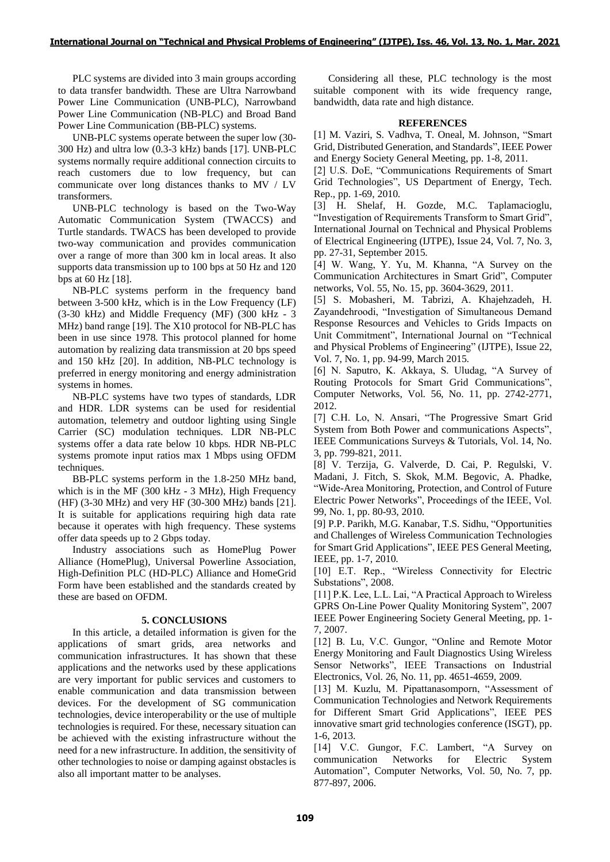PLC systems are divided into 3 main groups according to data transfer bandwidth. These are Ultra Narrowband Power Line Communication (UNB-PLC), Narrowband Power Line Communication (NB-PLC) and Broad Band Power Line Communication (BB-PLC) systems.

UNB-PLC systems operate between the super low (30- 300 Hz) and ultra low (0.3-3 kHz) bands [17]. UNB-PLC systems normally require additional connection circuits to reach customers due to low frequency, but can communicate over long distances thanks to MV / LV transformers.

UNB-PLC technology is based on the Two-Way Automatic Communication System (TWACCS) and Turtle standards. TWACS has been developed to provide two-way communication and provides communication over a range of more than 300 km in local areas. It also supports data transmission up to 100 bps at 50 Hz and 120 bps at 60 Hz [18].

NB-PLC systems perform in the frequency band between 3-500 kHz, which is in the Low Frequency (LF) (3-30 kHz) and Middle Frequency (MF) (300 kHz - 3 MHz) band range [19]. The X10 protocol for NB-PLC has been in use since 1978. This protocol planned for home automation by realizing data transmission at 20 bps speed and 150 kHz [20]. In addition, NB-PLC technology is preferred in energy monitoring and energy administration systems in homes.

NB-PLC systems have two types of standards, LDR and HDR. LDR systems can be used for residential automation, telemetry and outdoor lighting using Single Carrier (SC) modulation techniques. LDR NB-PLC systems offer a data rate below 10 kbps. HDR NB-PLC systems promote input ratios max 1 Mbps using OFDM techniques.

BB-PLC systems perform in the 1.8-250 MHz band, which is in the MF (300 kHz - 3 MHz), High Frequency (HF) (3-30 MHz) and very HF (30-300 MHz) bands [21]. It is suitable for applications requiring high data rate because it operates with high frequency. These systems offer data speeds up to 2 Gbps today.

Industry associations such as HomePlug Power Alliance (HomePlug), Universal Powerline Association, High-Definition PLC (HD-PLC) Alliance and HomeGrid Form have been established and the standards created by these are based on OFDM.

# **5. CONCLUSIONS**

In this article, a detailed information is given for the applications of smart grids, area networks and communication infrastructures. It has shown that these applications and the networks used by these applications are very important for public services and customers to enable communication and data transmission between devices. For the development of SG communication technologies, device interoperability or the use of multiple technologies is required. For these, necessary situation can be achieved with the existing infrastructure without the need for a new infrastructure. In addition, the sensitivity of other technologies to noise or damping against obstacles is also all important matter to be analyses.

Considering all these, PLC technology is the most suitable component with its wide frequency range, bandwidth, data rate and high distance.

# **REFERENCES**

[1] M. Vaziri, S. Vadhva, T. Oneal, M. Johnson, "Smart Grid, Distributed Generation, and Standards", IEEE Power and Energy Society General Meeting, pp. 1-8, 2011.

[2] U.S. DoE, "Communications Requirements of Smart Grid Technologies", US Department of Energy, Tech. Rep., pp. 1-69, 2010.

[3] H. Shelaf, H. Gozde, M.C. Taplamacioglu, "Investigation of Requirements Transform to Smart Grid", International Journal on Technical and Physical Problems of Electrical Engineering (IJTPE), Issue 24, Vol. 7, No. 3, pp. 27-31, September 2015.

[4] W. Wang, Y. Yu, M. Khanna, "A Survey on the Communication Architectures in Smart Grid", Computer networks, Vol. 55, No. 15, pp. 3604-3629, 2011.

[5] S. Mobasheri, M. Tabrizi, A. Khajehzadeh, H. Zayandehroodi, "Investigation of Simultaneous Demand Response Resources and Vehicles to Grids Impacts on Unit Commitment", International Journal on "Technical and Physical Problems of Engineering" (IJTPE), Issue 22, Vol. 7, No. 1, pp. 94-99, March 2015.

[6] N. Saputro, K. Akkaya, S. Uludag, "A Survey of Routing Protocols for Smart Grid Communications", Computer Networks, Vol. 56, No. 11, pp. 2742-2771, 2012.

[7] C.H. Lo, N. Ansari, "The Progressive Smart Grid System from Both Power and communications Aspects", IEEE Communications Surveys & Tutorials, Vol. 14, No. 3, pp. 799-821, 2011.

[8] V. Terzija, G. Valverde, D. Cai, P. Regulski, V. Madani, J. Fitch, S. Skok, M.M. Begovic, A. Phadke, "Wide-Area Monitoring, Protection, and Control of Future Electric Power Networks", Proceedings of the IEEE, Vol. 99, No. 1, pp. 80-93, 2010.

[9] P.P. Parikh, M.G. Kanabar, T.S. Sidhu, "Opportunities and Challenges of Wireless Communication Technologies for Smart Grid Applications", IEEE PES General Meeting, IEEE, pp. 1-7, 2010.

[10] E.T. Rep., "Wireless Connectivity for Electric Substations", 2008.

[11] P.K. Lee, L.L. Lai, "A Practical Approach to Wireless GPRS On-Line Power Quality Monitoring System", 2007 IEEE Power Engineering Society General Meeting, pp. 1- 7, 2007.

[12] B. Lu, V.C. Gungor, "Online and Remote Motor Energy Monitoring and Fault Diagnostics Using Wireless Sensor Networks", IEEE Transactions on Industrial Electronics, Vol. 26, No. 11, pp. 4651-4659, 2009.

[13] M. Kuzlu, M. Pipattanasomporn, "Assessment of Communication Technologies and Network Requirements for Different Smart Grid Applications", IEEE PES innovative smart grid technologies conference (ISGT), pp. 1-6, 2013.

[14] V.C. Gungor, F.C. Lambert, "A Survey on communication Networks for Electric System Automation", Computer Networks, Vol. 50, No. 7, pp. 877-897, 2006.